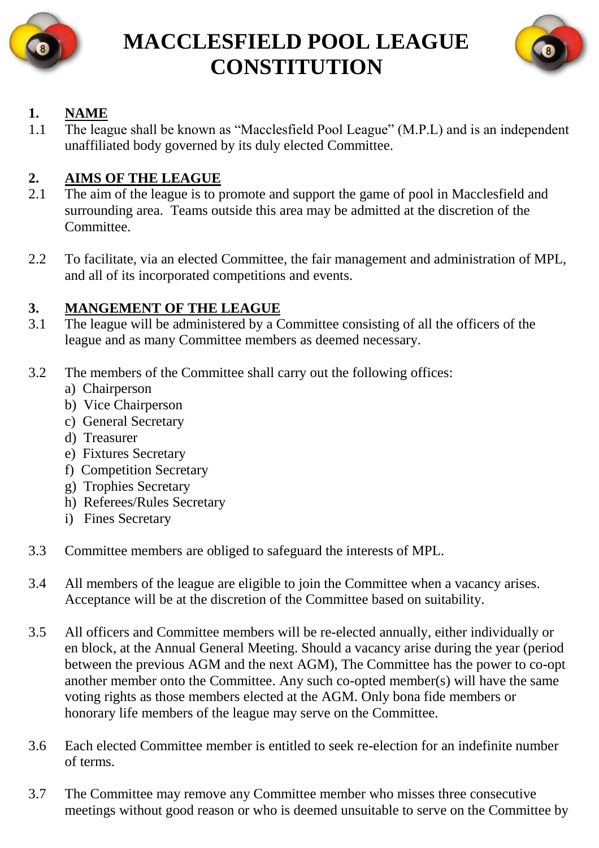

## **MACCLESFIELD POOL LEAGUE CONSTITUTION**



## **1. NAME**

1.1 The league shall be known as "Macclesfield Pool League" (M.P.L) and is an independent unaffiliated body governed by its duly elected Committee.

## **2. AIMS OF THE LEAGUE**

- 2.1 The aim of the league is to promote and support the game of pool in Macclesfield and surrounding area. Teams outside this area may be admitted at the discretion of the Committee.
- 2.2 To facilitate, via an elected Committee, the fair management and administration of MPL, and all of its incorporated competitions and events.

## **3. MANGEMENT OF THE LEAGUE**

- 3.1 The league will be administered by a Committee consisting of all the officers of the league and as many Committee members as deemed necessary.
- 3.2 The members of the Committee shall carry out the following offices:
	- a) Chairperson
	- b) Vice Chairperson
	- c) General Secretary
	- d) Treasurer
	- e) Fixtures Secretary
	- f) Competition Secretary
	- g) Trophies Secretary
	- h) Referees/Rules Secretary
	- i) Fines Secretary
- 3.3 Committee members are obliged to safeguard the interests of MPL.
- 3.4 All members of the league are eligible to join the Committee when a vacancy arises. Acceptance will be at the discretion of the Committee based on suitability.
- 3.5 All officers and Committee members will be re-elected annually, either individually or en block, at the Annual General Meeting. Should a vacancy arise during the year (period between the previous AGM and the next AGM), The Committee has the power to co-opt another member onto the Committee. Any such co-opted member(s) will have the same voting rights as those members elected at the AGM. Only bona fide members or honorary life members of the league may serve on the Committee.
- 3.6 Each elected Committee member is entitled to seek re-election for an indefinite number of terms.
- 3.7 The Committee may remove any Committee member who misses three consecutive meetings without good reason or who is deemed unsuitable to serve on the Committee by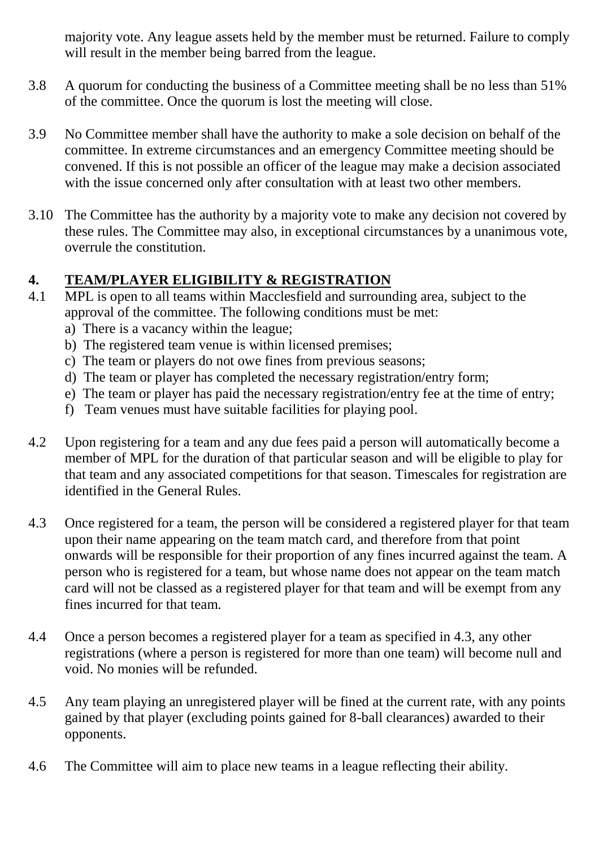majority vote. Any league assets held by the member must be returned. Failure to comply will result in the member being barred from the league.

- 3.8 A quorum for conducting the business of a Committee meeting shall be no less than 51% of the committee. Once the quorum is lost the meeting will close.
- 3.9 No Committee member shall have the authority to make a sole decision on behalf of the committee. In extreme circumstances and an emergency Committee meeting should be convened. If this is not possible an officer of the league may make a decision associated with the issue concerned only after consultation with at least two other members.
- 3.10 The Committee has the authority by a majority vote to make any decision not covered by these rules. The Committee may also, in exceptional circumstances by a unanimous vote, overrule the constitution.

## **4. TEAM/PLAYER ELIGIBILITY & REGISTRATION**

- 4.1 MPL is open to all teams within Macclesfield and surrounding area, subject to the approval of the committee. The following conditions must be met:
	- a) There is a vacancy within the league;
	- b) The registered team venue is within licensed premises;
	- c) The team or players do not owe fines from previous seasons;
	- d) The team or player has completed the necessary registration/entry form;
	- e) The team or player has paid the necessary registration/entry fee at the time of entry;
	- f) Team venues must have suitable facilities for playing pool.
- 4.2 Upon registering for a team and any due fees paid a person will automatically become a member of MPL for the duration of that particular season and will be eligible to play for that team and any associated competitions for that season. Timescales for registration are identified in the General Rules.
- 4.3 Once registered for a team, the person will be considered a registered player for that team upon their name appearing on the team match card, and therefore from that point onwards will be responsible for their proportion of any fines incurred against the team. A person who is registered for a team, but whose name does not appear on the team match card will not be classed as a registered player for that team and will be exempt from any fines incurred for that team.
- 4.4 Once a person becomes a registered player for a team as specified in 4.3, any other registrations (where a person is registered for more than one team) will become null and void. No monies will be refunded.
- 4.5 Any team playing an unregistered player will be fined at the current rate, with any points gained by that player (excluding points gained for 8-ball clearances) awarded to their opponents.
- 4.6 The Committee will aim to place new teams in a league reflecting their ability.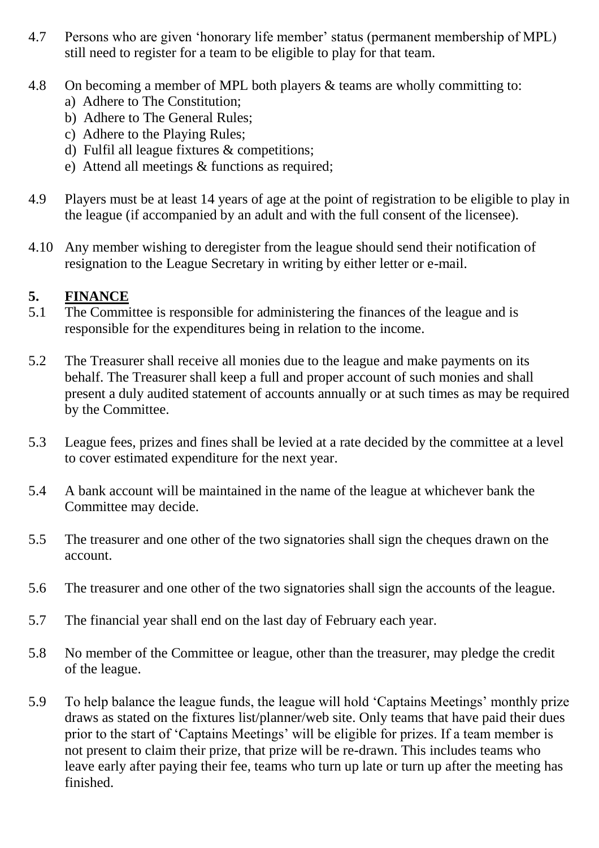- 4.7 Persons who are given 'honorary life member' status (permanent membership of MPL) still need to register for a team to be eligible to play for that team.
- 4.8 On becoming a member of MPL both players & teams are wholly committing to:
	- a) Adhere to The Constitution;
	- b) Adhere to The General Rules;
	- c) Adhere to the Playing Rules;
	- d) Fulfil all league fixtures & competitions;
	- e) Attend all meetings & functions as required;
- 4.9 Players must be at least 14 years of age at the point of registration to be eligible to play in the league (if accompanied by an adult and with the full consent of the licensee).
- 4.10 Any member wishing to deregister from the league should send their notification of resignation to the League Secretary in writing by either letter or e-mail.

## **5. FINANCE**

- 5.1 The Committee is responsible for administering the finances of the league and is responsible for the expenditures being in relation to the income.
- 5.2 The Treasurer shall receive all monies due to the league and make payments on its behalf. The Treasurer shall keep a full and proper account of such monies and shall present a duly audited statement of accounts annually or at such times as may be required by the Committee.
- 5.3 League fees, prizes and fines shall be levied at a rate decided by the committee at a level to cover estimated expenditure for the next year.
- 5.4 A bank account will be maintained in the name of the league at whichever bank the Committee may decide.
- 5.5 The treasurer and one other of the two signatories shall sign the cheques drawn on the account.
- 5.6 The treasurer and one other of the two signatories shall sign the accounts of the league.
- 5.7 The financial year shall end on the last day of February each year.
- 5.8 No member of the Committee or league, other than the treasurer, may pledge the credit of the league.
- 5.9 To help balance the league funds, the league will hold 'Captains Meetings' monthly prize draws as stated on the fixtures list/planner/web site. Only teams that have paid their dues prior to the start of 'Captains Meetings' will be eligible for prizes. If a team member is not present to claim their prize, that prize will be re-drawn. This includes teams who leave early after paying their fee, teams who turn up late or turn up after the meeting has finished.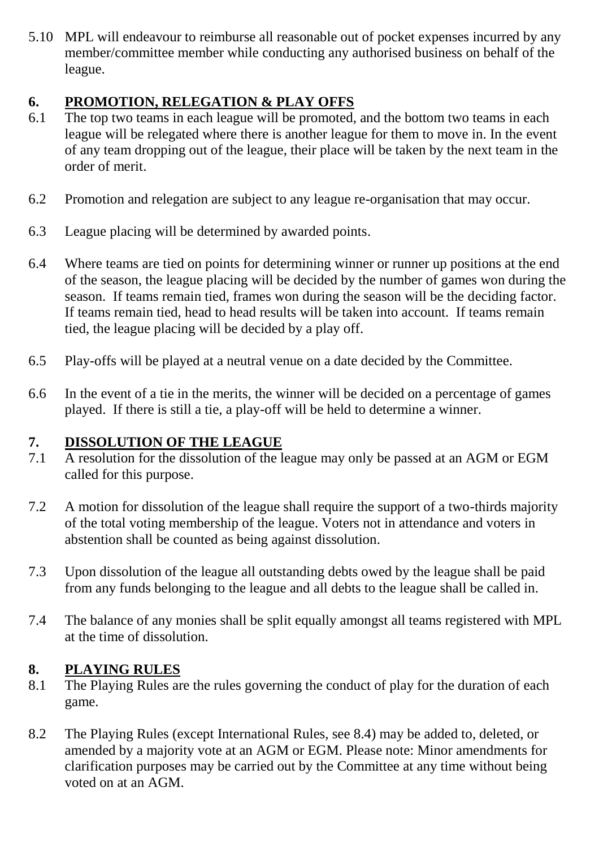5.10 MPL will endeavour to reimburse all reasonable out of pocket expenses incurred by any member/committee member while conducting any authorised business on behalf of the league.

## **6. PROMOTION, RELEGATION & PLAY OFFS**

- 6.1 The top two teams in each league will be promoted, and the bottom two teams in each league will be relegated where there is another league for them to move in. In the event of any team dropping out of the league, their place will be taken by the next team in the order of merit.
- 6.2 Promotion and relegation are subject to any league re-organisation that may occur.
- 6.3 League placing will be determined by awarded points.
- 6.4 Where teams are tied on points for determining winner or runner up positions at the end of the season, the league placing will be decided by the number of games won during the season. If teams remain tied, frames won during the season will be the deciding factor. If teams remain tied, head to head results will be taken into account. If teams remain tied, the league placing will be decided by a play off.
- 6.5 Play-offs will be played at a neutral venue on a date decided by the Committee.
- 6.6 In the event of a tie in the merits, the winner will be decided on a percentage of games played. If there is still a tie, a play-off will be held to determine a winner.

# **7. DISSOLUTION OF THE LEAGUE**<br>7.1 A resolution for the dissolution of the 1

- A resolution for the dissolution of the league may only be passed at an AGM or EGM called for this purpose.
- 7.2 A motion for dissolution of the league shall require the support of a two-thirds majority of the total voting membership of the league. Voters not in attendance and voters in abstention shall be counted as being against dissolution.
- 7.3 Upon dissolution of the league all outstanding debts owed by the league shall be paid from any funds belonging to the league and all debts to the league shall be called in.
- 7.4 The balance of any monies shall be split equally amongst all teams registered with MPL at the time of dissolution.

#### **8. PLAYING RULES**

- 8.1 The Playing Rules are the rules governing the conduct of play for the duration of each game.
- 8.2 The Playing Rules (except International Rules, see 8.4) may be added to, deleted, or amended by a majority vote at an AGM or EGM. Please note: Minor amendments for clarification purposes may be carried out by the Committee at any time without being voted on at an AGM.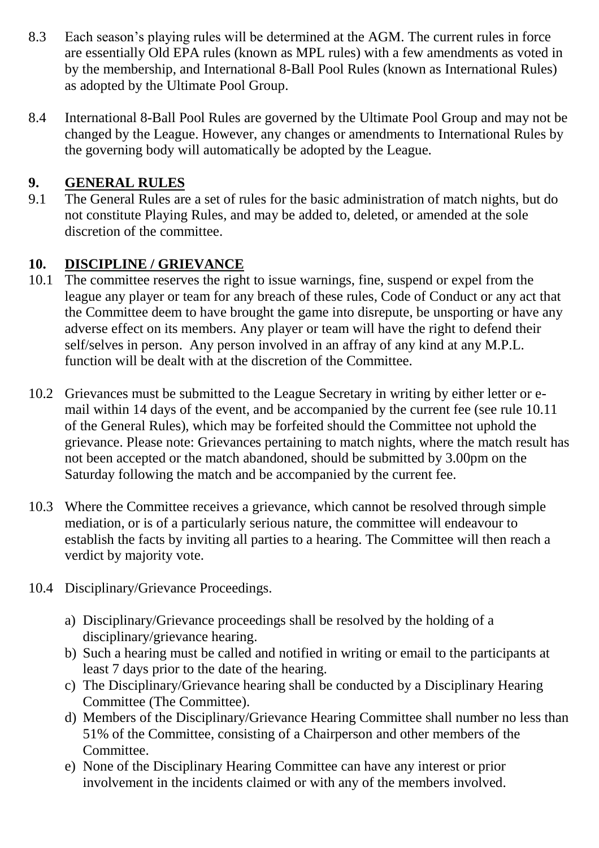- 8.3 Each season's playing rules will be determined at the AGM. The current rules in force are essentially Old EPA rules (known as MPL rules) with a few amendments as voted in by the membership, and International 8-Ball Pool Rules (known as International Rules) as adopted by the Ultimate Pool Group.
- 8.4 International 8-Ball Pool Rules are governed by the Ultimate Pool Group and may not be changed by the League. However, any changes or amendments to International Rules by the governing body will automatically be adopted by the League.

## **9. GENERAL RULES**

9.1 The General Rules are a set of rules for the basic administration of match nights, but do not constitute Playing Rules, and may be added to, deleted, or amended at the sole discretion of the committee.

## **10. DISCIPLINE / GRIEVANCE**

- 10.1 The committee reserves the right to issue warnings, fine, suspend or expel from the league any player or team for any breach of these rules, Code of Conduct or any act that the Committee deem to have brought the game into disrepute, be unsporting or have any adverse effect on its members. Any player or team will have the right to defend their self/selves in person. Any person involved in an affray of any kind at any M.P.L. function will be dealt with at the discretion of the Committee.
- 10.2 Grievances must be submitted to the League Secretary in writing by either letter or email within 14 days of the event, and be accompanied by the current fee (see rule 10.11 of the General Rules), which may be forfeited should the Committee not uphold the grievance. Please note: Grievances pertaining to match nights, where the match result has not been accepted or the match abandoned, should be submitted by 3.00pm on the Saturday following the match and be accompanied by the current fee.
- 10.3 Where the Committee receives a grievance, which cannot be resolved through simple mediation, or is of a particularly serious nature, the committee will endeavour to establish the facts by inviting all parties to a hearing. The Committee will then reach a verdict by majority vote.
- 10.4 Disciplinary/Grievance Proceedings.
	- a) Disciplinary/Grievance proceedings shall be resolved by the holding of a disciplinary/grievance hearing.
	- b) Such a hearing must be called and notified in writing or email to the participants at least 7 days prior to the date of the hearing.
	- c) The Disciplinary/Grievance hearing shall be conducted by a Disciplinary Hearing Committee (The Committee).
	- d) Members of the Disciplinary/Grievance Hearing Committee shall number no less than 51% of the Committee, consisting of a Chairperson and other members of the Committee.
	- e) None of the Disciplinary Hearing Committee can have any interest or prior involvement in the incidents claimed or with any of the members involved.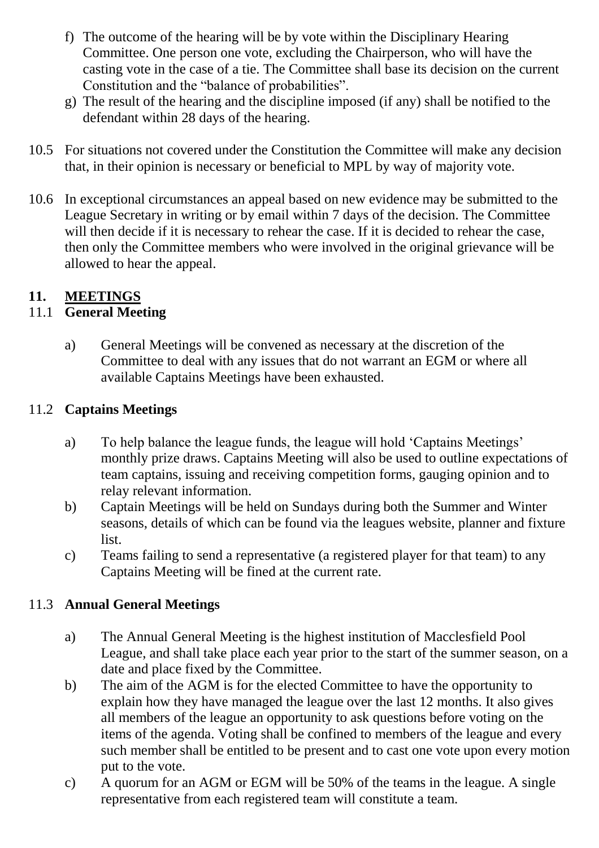- f) The outcome of the hearing will be by vote within the Disciplinary Hearing Committee. One person one vote, excluding the Chairperson, who will have the casting vote in the case of a tie. The Committee shall base its decision on the current Constitution and the "balance of probabilities".
- g) The result of the hearing and the discipline imposed (if any) shall be notified to the defendant within 28 days of the hearing.
- 10.5 For situations not covered under the Constitution the Committee will make any decision that, in their opinion is necessary or beneficial to MPL by way of majority vote.
- 10.6 In exceptional circumstances an appeal based on new evidence may be submitted to the League Secretary in writing or by email within 7 days of the decision. The Committee will then decide if it is necessary to rehear the case. If it is decided to rehear the case, then only the Committee members who were involved in the original grievance will be allowed to hear the appeal.

#### **11. MEETINGS**

#### 11.1 **General Meeting**

a) General Meetings will be convened as necessary at the discretion of the Committee to deal with any issues that do not warrant an EGM or where all available Captains Meetings have been exhausted.

#### 11.2 **Captains Meetings**

- a) To help balance the league funds, the league will hold 'Captains Meetings' monthly prize draws. Captains Meeting will also be used to outline expectations of team captains, issuing and receiving competition forms, gauging opinion and to relay relevant information.
- b) Captain Meetings will be held on Sundays during both the Summer and Winter seasons, details of which can be found via the leagues website, planner and fixture list.
- c) Teams failing to send a representative (a registered player for that team) to any Captains Meeting will be fined at the current rate.

#### 11.3 **Annual General Meetings**

- a) The Annual General Meeting is the highest institution of Macclesfield Pool League, and shall take place each year prior to the start of the summer season, on a date and place fixed by the Committee.
- b) The aim of the AGM is for the elected Committee to have the opportunity to explain how they have managed the league over the last 12 months. It also gives all members of the league an opportunity to ask questions before voting on the items of the agenda. Voting shall be confined to members of the league and every such member shall be entitled to be present and to cast one vote upon every motion put to the vote.
- c) A quorum for an AGM or EGM will be 50% of the teams in the league. A single representative from each registered team will constitute a team.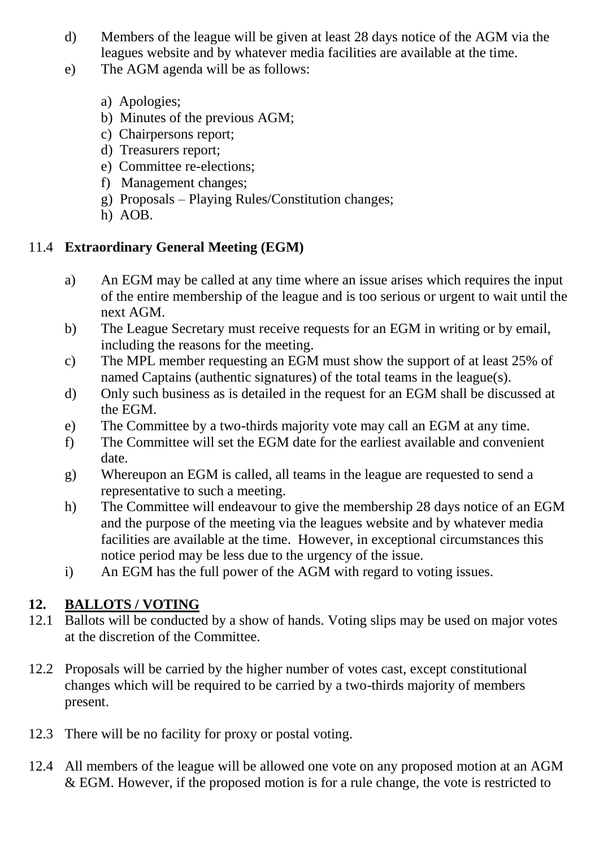- d) Members of the league will be given at least 28 days notice of the AGM via the leagues website and by whatever media facilities are available at the time.
- e) The AGM agenda will be as follows:
	- a) Apologies;
	- b) Minutes of the previous AGM;
	- c) Chairpersons report;
	- d) Treasurers report;
	- e) Committee re-elections;
	- f) Management changes;
	- g) Proposals Playing Rules/Constitution changes;
	- h) AOB.

## 11.4 **Extraordinary General Meeting (EGM)**

- a) An EGM may be called at any time where an issue arises which requires the input of the entire membership of the league and is too serious or urgent to wait until the next AGM.
- b) The League Secretary must receive requests for an EGM in writing or by email, including the reasons for the meeting.
- c) The MPL member requesting an EGM must show the support of at least 25% of named Captains (authentic signatures) of the total teams in the league(s).
- d) Only such business as is detailed in the request for an EGM shall be discussed at the EGM.
- e) The Committee by a two-thirds majority vote may call an EGM at any time.
- f) The Committee will set the EGM date for the earliest available and convenient date.
- g) Whereupon an EGM is called, all teams in the league are requested to send a representative to such a meeting.
- h) The Committee will endeavour to give the membership 28 days notice of an EGM and the purpose of the meeting via the leagues website and by whatever media facilities are available at the time. However, in exceptional circumstances this notice period may be less due to the urgency of the issue.
- i) An EGM has the full power of the AGM with regard to voting issues.

## **12. BALLOTS / VOTING**

- 12.1 Ballots will be conducted by a show of hands. Voting slips may be used on major votes at the discretion of the Committee.
- 12.2 Proposals will be carried by the higher number of votes cast, except constitutional changes which will be required to be carried by a two-thirds majority of members present.
- 12.3 There will be no facility for proxy or postal voting.
- 12.4 All members of the league will be allowed one vote on any proposed motion at an AGM & EGM. However, if the proposed motion is for a rule change, the vote is restricted to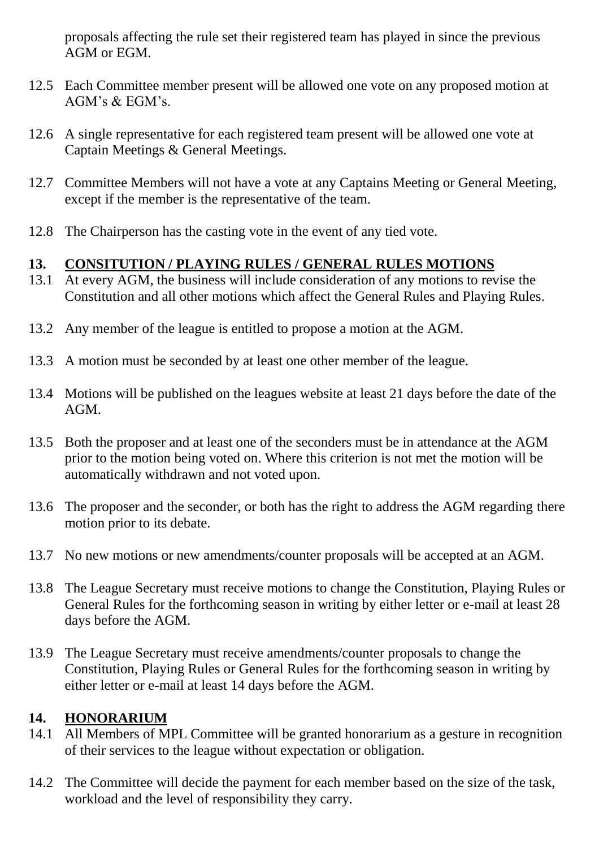proposals affecting the rule set their registered team has played in since the previous AGM or EGM.

- 12.5 Each Committee member present will be allowed one vote on any proposed motion at AGM's & EGM's.
- 12.6 A single representative for each registered team present will be allowed one vote at Captain Meetings & General Meetings.
- 12.7 Committee Members will not have a vote at any Captains Meeting or General Meeting, except if the member is the representative of the team.
- 12.8 The Chairperson has the casting vote in the event of any tied vote.

#### **13. CONSITUTION / PLAYING RULES / GENERAL RULES MOTIONS**

- 13.1 At every AGM, the business will include consideration of any motions to revise the Constitution and all other motions which affect the General Rules and Playing Rules.
- 13.2 Any member of the league is entitled to propose a motion at the AGM.
- 13.3 A motion must be seconded by at least one other member of the league.
- 13.4 Motions will be published on the leagues website at least 21 days before the date of the AGM.
- 13.5 Both the proposer and at least one of the seconders must be in attendance at the AGM prior to the motion being voted on. Where this criterion is not met the motion will be automatically withdrawn and not voted upon.
- 13.6 The proposer and the seconder, or both has the right to address the AGM regarding there motion prior to its debate.
- 13.7 No new motions or new amendments/counter proposals will be accepted at an AGM.
- 13.8 The League Secretary must receive motions to change the Constitution, Playing Rules or General Rules for the forthcoming season in writing by either letter or e-mail at least 28 days before the AGM.
- 13.9 The League Secretary must receive amendments/counter proposals to change the Constitution, Playing Rules or General Rules for the forthcoming season in writing by either letter or e-mail at least 14 days before the AGM.

#### **14. HONORARIUM**

- 14.1 All Members of MPL Committee will be granted honorarium as a gesture in recognition of their services to the league without expectation or obligation.
- 14.2 The Committee will decide the payment for each member based on the size of the task, workload and the level of responsibility they carry.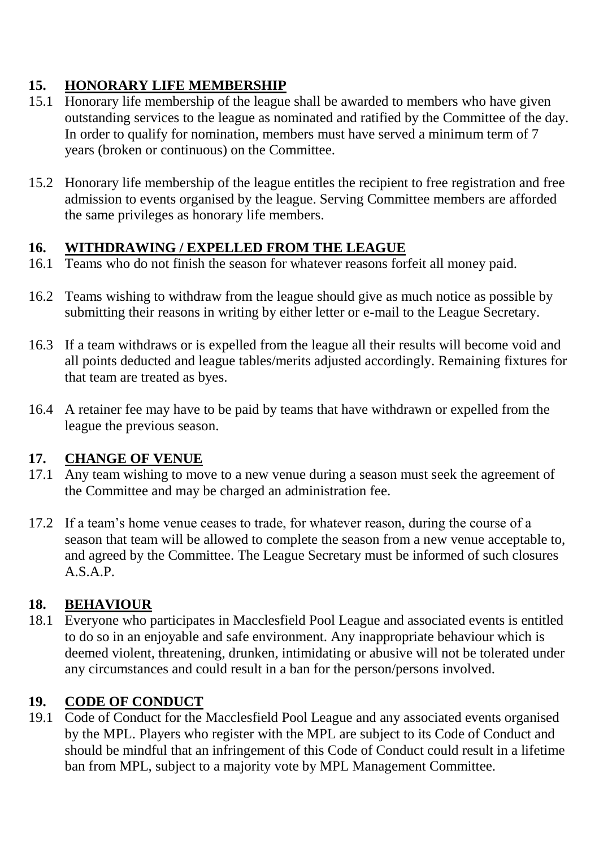## **15. HONORARY LIFE MEMBERSHIP**

- 15.1 Honorary life membership of the league shall be awarded to members who have given outstanding services to the league as nominated and ratified by the Committee of the day. In order to qualify for nomination, members must have served a minimum term of 7 years (broken or continuous) on the Committee.
- 15.2 Honorary life membership of the league entitles the recipient to free registration and free admission to events organised by the league. Serving Committee members are afforded the same privileges as honorary life members.

#### **16. WITHDRAWING / EXPELLED FROM THE LEAGUE**

- 16.1 Teams who do not finish the season for whatever reasons forfeit all money paid.
- 16.2 Teams wishing to withdraw from the league should give as much notice as possible by submitting their reasons in writing by either letter or e-mail to the League Secretary.
- 16.3 If a team withdraws or is expelled from the league all their results will become void and all points deducted and league tables/merits adjusted accordingly. Remaining fixtures for that team are treated as byes.
- 16.4 A retainer fee may have to be paid by teams that have withdrawn or expelled from the league the previous season.

#### **17. CHANGE OF VENUE**

- 17.1 Any team wishing to move to a new venue during a season must seek the agreement of the Committee and may be charged an administration fee.
- 17.2 If a team's home venue ceases to trade, for whatever reason, during the course of a season that team will be allowed to complete the season from a new venue acceptable to, and agreed by the Committee. The League Secretary must be informed of such closures A.S.A.P.

## **18. BEHAVIOUR**

18.1 Everyone who participates in Macclesfield Pool League and associated events is entitled to do so in an enjoyable and safe environment. Any inappropriate behaviour which is deemed violent, threatening, drunken, intimidating or abusive will not be tolerated under any circumstances and could result in a ban for the person/persons involved.

## **19. CODE OF CONDUCT**

19.1 Code of Conduct for the Macclesfield Pool League and any associated events organised by the MPL. Players who register with the MPL are subject to its Code of Conduct and should be mindful that an infringement of this Code of Conduct could result in a lifetime ban from MPL, subject to a majority vote by MPL Management Committee.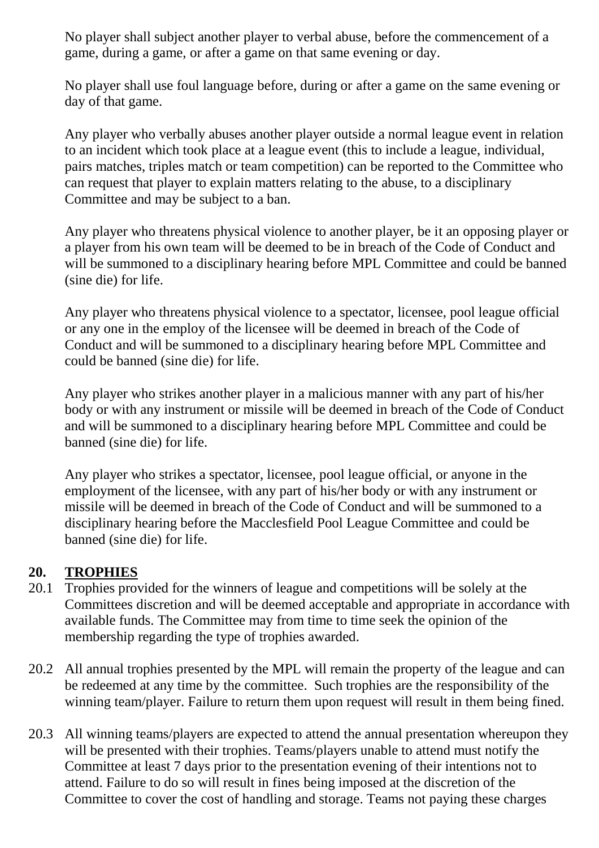No player shall subject another player to verbal abuse, before the commencement of a game, during a game, or after a game on that same evening or day.

No player shall use foul language before, during or after a game on the same evening or day of that game.

Any player who verbally abuses another player outside a normal league event in relation to an incident which took place at a league event (this to include a league, individual, pairs matches, triples match or team competition) can be reported to the Committee who can request that player to explain matters relating to the abuse, to a disciplinary Committee and may be subject to a ban.

Any player who threatens physical violence to another player, be it an opposing player or a player from his own team will be deemed to be in breach of the Code of Conduct and will be summoned to a disciplinary hearing before MPL Committee and could be banned (sine die) for life.

Any player who threatens physical violence to a spectator, licensee, pool league official or any one in the employ of the licensee will be deemed in breach of the Code of Conduct and will be summoned to a disciplinary hearing before MPL Committee and could be banned (sine die) for life.

Any player who strikes another player in a malicious manner with any part of his/her body or with any instrument or missile will be deemed in breach of the Code of Conduct and will be summoned to a disciplinary hearing before MPL Committee and could be banned (sine die) for life.

Any player who strikes a spectator, licensee, pool league official, or anyone in the employment of the licensee, with any part of his/her body or with any instrument or missile will be deemed in breach of the Code of Conduct and will be summoned to a disciplinary hearing before the Macclesfield Pool League Committee and could be banned (sine die) for life.

#### **20. TROPHIES**

- 20.1 Trophies provided for the winners of league and competitions will be solely at the Committees discretion and will be deemed acceptable and appropriate in accordance with available funds. The Committee may from time to time seek the opinion of the membership regarding the type of trophies awarded.
- 20.2 All annual trophies presented by the MPL will remain the property of the league and can be redeemed at any time by the committee. Such trophies are the responsibility of the winning team/player. Failure to return them upon request will result in them being fined.
- 20.3 All winning teams/players are expected to attend the annual presentation whereupon they will be presented with their trophies. Teams/players unable to attend must notify the Committee at least 7 days prior to the presentation evening of their intentions not to attend. Failure to do so will result in fines being imposed at the discretion of the Committee to cover the cost of handling and storage. Teams not paying these charges